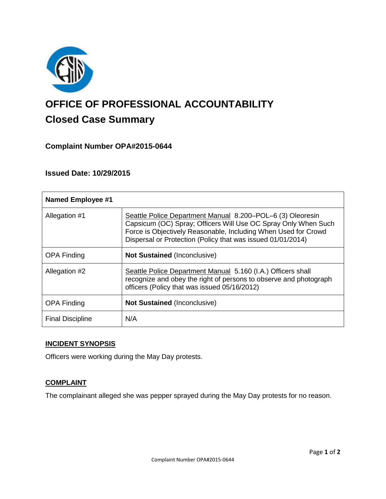

# **OFFICE OF PROFESSIONAL ACCOUNTABILITY Closed Case Summary**

## **Complaint Number OPA#2015-0644**

**Issued Date: 10/29/2015**

| <b>Named Employee #1</b> |                                                                                                                                                                                                                                                               |
|--------------------------|---------------------------------------------------------------------------------------------------------------------------------------------------------------------------------------------------------------------------------------------------------------|
| Allegation #1            | Seattle Police Department Manual 8.200–POL–6 (3) Oleoresin<br>Capsicum (OC) Spray; Officers Will Use OC Spray Only When Such<br>Force is Objectively Reasonable, Including When Used for Crowd<br>Dispersal or Protection (Policy that was issued 01/01/2014) |
| <b>OPA Finding</b>       | <b>Not Sustained (Inconclusive)</b>                                                                                                                                                                                                                           |
| Allegation #2            | Seattle Police Department Manual 5.160 (I.A.) Officers shall<br>recognize and obey the right of persons to observe and photograph<br>officers (Policy that was issued 05/16/2012)                                                                             |
| <b>OPA Finding</b>       | <b>Not Sustained (Inconclusive)</b>                                                                                                                                                                                                                           |
| <b>Final Discipline</b>  | N/A                                                                                                                                                                                                                                                           |

## **INCIDENT SYNOPSIS**

Officers were working during the May Day protests.

#### **COMPLAINT**

The complainant alleged she was pepper sprayed during the May Day protests for no reason.